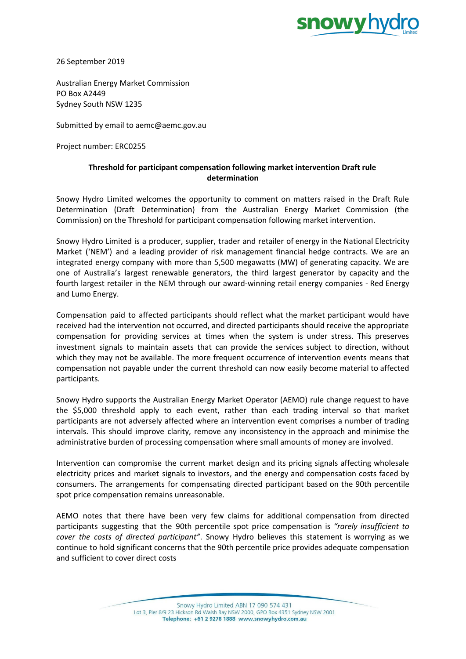

26 September 2019

Australian Energy Market Commission PO Box A2449 Sydney South NSW 1235

Submitted by email to [aemc@aemc.gov.au](mailto:aemc@aemc.gov.au)

Project number: ERC0255

## **Threshold for participant compensation following market intervention Draft rule determination**

Snowy Hydro Limited welcomes the opportunity to comment on matters raised in the Draft Rule Determination (Draft Determination) from the Australian Energy Market Commission (the Commission) on the Threshold for participant compensation following market intervention.

Snowy Hydro Limited is a producer, supplier, trader and retailer of energy in the National Electricity Market ('NEM') and a leading provider of risk management financial hedge contracts. We are an integrated energy company with more than 5,500 megawatts (MW) of generating capacity. We are one of Australia's largest renewable generators, the third largest generator by capacity and the fourth largest retailer in the NEM through our award-winning retail energy companies - Red Energy and Lumo Energy.

Compensation paid to affected participants should reflect what the market participant would have received had the intervention not occurred, and directed participants should receive the appropriate compensation for providing services at times when the system is under stress. This preserves investment signals to maintain assets that can provide the services subject to direction, without which they may not be available. The more frequent occurrence of intervention events means that compensation not payable under the current threshold can now easily become material to affected participants.

Snowy Hydro supports the Australian Energy Market Operator (AEMO) rule change request to have the \$5,000 threshold apply to each event, rather than each trading interval so that market participants are not adversely affected where an intervention event comprises a number of trading intervals. This should improve clarity, remove any inconsistency in the approach and minimise the administrative burden of processing compensation where small amounts of money are involved.

Intervention can compromise the current market design and its pricing signals affecting wholesale electricity prices and market signals to investors, and the energy and compensation costs faced by consumers. The arrangements for compensating directed participant based on the 90th percentile spot price compensation remains unreasonable.

AEMO notes that there have been very few claims for additional compensation from directed participants suggesting that the 90th percentile spot price compensation is *"rarely insufficient to cover the costs of directed participant"*. Snowy Hydro believes this statement is worrying as we continue to hold significant concerns that the 90th percentile price provides adequate compensation and sufficient to cover direct costs